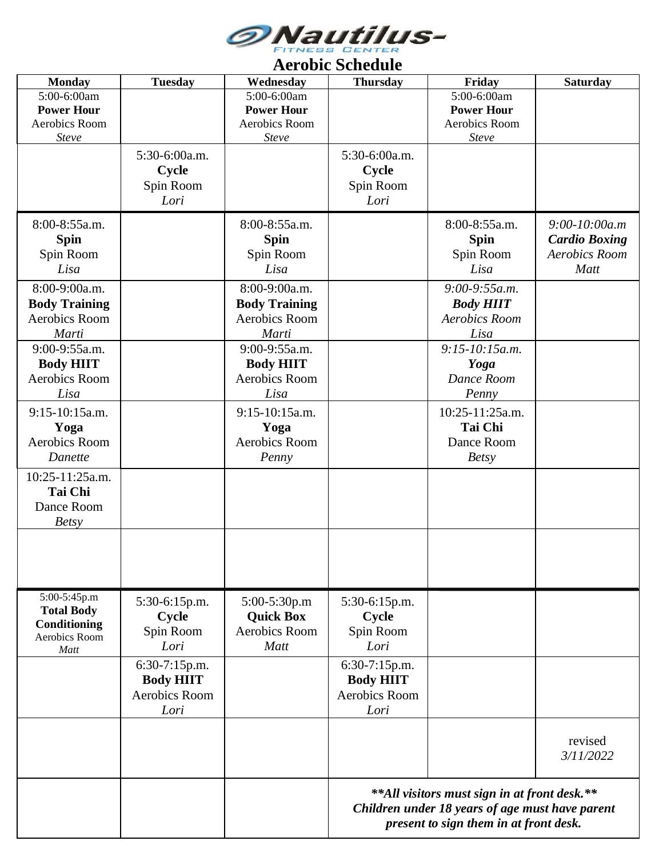

| <b>Monday</b>        | <b>Tuesday</b>   | Wednesday            | <i>Tel oute delicatie</i><br><b>Thursday</b>                                                    | Friday               | <b>Saturday</b>      |  |  |
|----------------------|------------------|----------------------|-------------------------------------------------------------------------------------------------|----------------------|----------------------|--|--|
| 5:00-6:00am          |                  | 5:00-6:00am          |                                                                                                 | 5:00-6:00am          |                      |  |  |
| <b>Power Hour</b>    |                  | <b>Power Hour</b>    |                                                                                                 | <b>Power Hour</b>    |                      |  |  |
|                      |                  | <b>Aerobics Room</b> |                                                                                                 |                      |                      |  |  |
| Aerobics Room        |                  |                      |                                                                                                 | Aerobics Room        |                      |  |  |
| Steve                |                  | Steve                |                                                                                                 | Steve                |                      |  |  |
|                      | 5:30-6:00a.m.    |                      | 5:30-6:00a.m.                                                                                   |                      |                      |  |  |
|                      | <b>Cycle</b>     |                      | Cycle                                                                                           |                      |                      |  |  |
|                      | Spin Room        |                      | Spin Room                                                                                       |                      |                      |  |  |
|                      | Lori             |                      | Lori                                                                                            |                      |                      |  |  |
|                      |                  |                      |                                                                                                 |                      |                      |  |  |
| 8:00-8:55a.m.        |                  | 8:00-8:55a.m.        |                                                                                                 | 8:00-8:55a.m.        | $9:00-10:00a.m$      |  |  |
| <b>Spin</b>          |                  | <b>Spin</b>          |                                                                                                 | <b>Spin</b>          | <b>Cardio Boxing</b> |  |  |
| Spin Room            |                  | Spin Room            |                                                                                                 | Spin Room            | <b>Aerobics Room</b> |  |  |
| Lisa                 |                  | Lisa                 |                                                                                                 | Lisa                 | Matt                 |  |  |
|                      |                  |                      |                                                                                                 |                      |                      |  |  |
| 8:00-9:00a.m.        |                  | 8:00-9:00a.m.        |                                                                                                 | $9:00-9:55a.m.$      |                      |  |  |
| <b>Body Training</b> |                  | <b>Body Training</b> |                                                                                                 | <b>Body HIIT</b>     |                      |  |  |
| <b>Aerobics Room</b> |                  | Aerobics Room        |                                                                                                 | <b>Aerobics Room</b> |                      |  |  |
| Marti                |                  | Marti                |                                                                                                 | Lisa                 |                      |  |  |
| 9:00-9:55a.m.        |                  | 9:00-9:55a.m.        |                                                                                                 | $9:15-10:15a.m.$     |                      |  |  |
|                      |                  | <b>Body HIIT</b>     |                                                                                                 |                      |                      |  |  |
| <b>Body HIIT</b>     |                  |                      |                                                                                                 | Yoga                 |                      |  |  |
| <b>Aerobics Room</b> |                  | Aerobics Room        |                                                                                                 | Dance Room           |                      |  |  |
| Lisa                 |                  | Lisa                 |                                                                                                 | Penny                |                      |  |  |
| 9:15-10:15a.m.       |                  | 9:15-10:15a.m.       |                                                                                                 | 10:25-11:25a.m.      |                      |  |  |
| Yoga                 |                  | Yoga                 |                                                                                                 | Tai Chi              |                      |  |  |
| <b>Aerobics Room</b> |                  | Aerobics Room        |                                                                                                 | Dance Room           |                      |  |  |
|                      |                  |                      |                                                                                                 |                      |                      |  |  |
| Danette              |                  | Penny                |                                                                                                 | <b>Betsy</b>         |                      |  |  |
| 10:25-11:25a.m.      |                  |                      |                                                                                                 |                      |                      |  |  |
| <b>Tai Chi</b>       |                  |                      |                                                                                                 |                      |                      |  |  |
| Dance Room           |                  |                      |                                                                                                 |                      |                      |  |  |
| <b>Betsy</b>         |                  |                      |                                                                                                 |                      |                      |  |  |
|                      |                  |                      |                                                                                                 |                      |                      |  |  |
|                      |                  |                      |                                                                                                 |                      |                      |  |  |
|                      |                  |                      |                                                                                                 |                      |                      |  |  |
|                      |                  |                      |                                                                                                 |                      |                      |  |  |
|                      |                  |                      |                                                                                                 |                      |                      |  |  |
| 5:00-5:45p.m         | 5:30-6:15p.m.    | 5:00-5:30p.m         | 5:30-6:15p.m.                                                                                   |                      |                      |  |  |
| <b>Total Body</b>    | Cycle            | <b>Quick Box</b>     | Cycle                                                                                           |                      |                      |  |  |
| Conditioning         | Spin Room        | Aerobics Room        | Spin Room                                                                                       |                      |                      |  |  |
| Aerobics Room        |                  |                      |                                                                                                 |                      |                      |  |  |
| Matt                 | Lori             | Matt                 | Lori                                                                                            |                      |                      |  |  |
|                      | 6:30-7:15p.m.    |                      | 6:30-7:15p.m.                                                                                   |                      |                      |  |  |
|                      | <b>Body HIIT</b> |                      | <b>Body HIIT</b>                                                                                |                      |                      |  |  |
|                      | Aerobics Room    |                      | Aerobics Room                                                                                   |                      |                      |  |  |
|                      | Lori             |                      | Lori                                                                                            |                      |                      |  |  |
|                      |                  |                      |                                                                                                 |                      |                      |  |  |
|                      |                  |                      |                                                                                                 |                      |                      |  |  |
|                      |                  |                      |                                                                                                 |                      | revised              |  |  |
|                      |                  |                      |                                                                                                 |                      | 3/11/2022            |  |  |
|                      |                  |                      | **All visitors must sign in at front desk.**<br>Children under 18 years of age must have parent |                      |                      |  |  |
|                      |                  |                      | present to sign them in at front desk.                                                          |                      |                      |  |  |